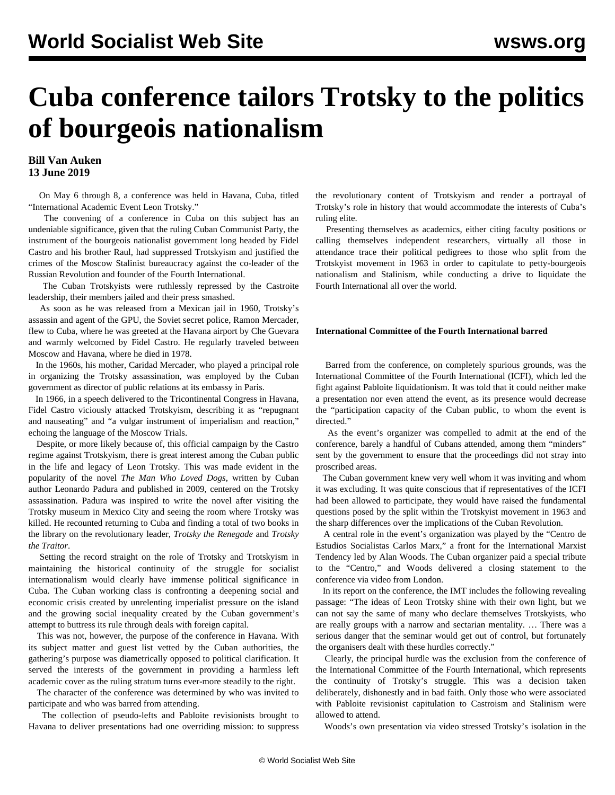# **Cuba conference tailors Trotsky to the politics of bourgeois nationalism**

### **Bill Van Auken 13 June 2019**

 On May 6 through 8, a conference was held in Havana, Cuba, titled "International Academic Event Leon Trotsky."

 The convening of a conference in Cuba on this subject has an undeniable significance, given that the ruling Cuban Communist Party, the instrument of the bourgeois nationalist government long headed by Fidel Castro and his brother Raul, had suppressed Trotskyism and justified the crimes of the Moscow Stalinist bureaucracy against the co-leader of the Russian Revolution and founder of the Fourth International.

 The Cuban Trotskyists were ruthlessly repressed by the Castroite leadership, their members jailed and their press smashed.

 As soon as he was released from a Mexican jail in 1960, Trotsky's assassin and agent of the GPU, the Soviet secret police, Ramon Mercader, flew to Cuba, where he was greeted at the Havana airport by Che Guevara and warmly welcomed by Fidel Castro. He regularly traveled between Moscow and Havana, where he died in 1978.

 In the 1960s, his mother, Caridad Mercader, who played a principal role in organizing the Trotsky assassination, was employed by the Cuban government as director of public relations at its embassy in Paris.

 In 1966, in a speech delivered to the Tricontinental Congress in Havana, Fidel Castro viciously attacked Trotskyism, describing it as "repugnant and nauseating" and "a vulgar instrument of imperialism and reaction," echoing the language of the Moscow Trials.

 Despite, or more likely because of, this official campaign by the Castro regime against Trotskyism, there is great interest among the Cuban public in the life and legacy of Leon Trotsky. This was made evident in the popularity of the novel *The Man Who Loved Dogs*, written by Cuban author Leonardo Padura and published in 2009, centered on the Trotsky assassination. Padura was inspired to write the novel after visiting the Trotsky museum in Mexico City and seeing the room where Trotsky was killed. He recounted returning to Cuba and finding a total of two books in the library on the revolutionary leader, *Trotsky the Renegade* and *Trotsky the Traitor*.

 Setting the record straight on the role of Trotsky and Trotskyism in maintaining the historical continuity of the struggle for socialist internationalism would clearly have immense political significance in Cuba. The Cuban working class is confronting a deepening social and economic crisis created by unrelenting imperialist pressure on the island and the growing social inequality created by the Cuban government's attempt to buttress its rule through deals with foreign capital.

 This was not, however, the purpose of the conference in Havana. With its subject matter and guest list vetted by the Cuban authorities, the gathering's purpose was diametrically opposed to political clarification. It served the interests of the government in providing a harmless left academic cover as the ruling stratum turns ever-more steadily to the right.

 The character of the conference was determined by who was invited to participate and who was barred from attending.

 The collection of pseudo-lefts and Pabloite revisionists brought to Havana to deliver presentations had one overriding mission: to suppress

the revolutionary content of Trotskyism and render a portrayal of Trotsky's role in history that would accommodate the interests of Cuba's ruling elite.

 Presenting themselves as academics, either citing faculty positions or calling themselves independent researchers, virtually all those in attendance trace their political pedigrees to those who split from the Trotskyist movement in 1963 in order to capitulate to petty-bourgeois nationalism and Stalinism, while conducting a drive to liquidate the Fourth International all over the world.

#### **International Committee of the Fourth International barred**

 Barred from the conference, on completely spurious grounds, was the International Committee of the Fourth International (ICFI), which led the fight against Pabloite liquidationism. It was told that it could neither make a presentation nor even attend the event, as its presence would decrease the "participation capacity of the Cuban public, to whom the event is directed."

 As the event's organizer was compelled to admit at the end of the conference, barely a handful of Cubans attended, among them "minders" sent by the government to ensure that the proceedings did not stray into proscribed areas.

 The Cuban government knew very well whom it was inviting and whom it was excluding. It was quite conscious that if representatives of the ICFI had been allowed to participate, they would have raised the fundamental questions posed by the split within the Trotskyist movement in 1963 and the sharp differences over the implications of the Cuban Revolution.

 A central role in the event's organization was played by the "Centro de Estudios Socialistas Carlos Marx," a front for the International Marxist Tendency led by Alan Woods. The Cuban organizer paid a special tribute to the "Centro," and Woods delivered a closing statement to the conference via video from London.

 In its report on the conference, the IMT includes the following revealing passage: "The ideas of Leon Trotsky shine with their own light, but we can not say the same of many who declare themselves Trotskyists, who are really groups with a narrow and sectarian mentality. … There was a serious danger that the seminar would get out of control, but fortunately the organisers dealt with these hurdles correctly."

 Clearly, the principal hurdle was the exclusion from the conference of the International Committee of the Fourth International, which represents the continuity of Trotsky's struggle. This was a decision taken deliberately, dishonestly and in bad faith. Only those who were associated with Pabloite revisionist capitulation to Castroism and Stalinism were allowed to attend.

Woods's own presentation via video stressed Trotsky's isolation in the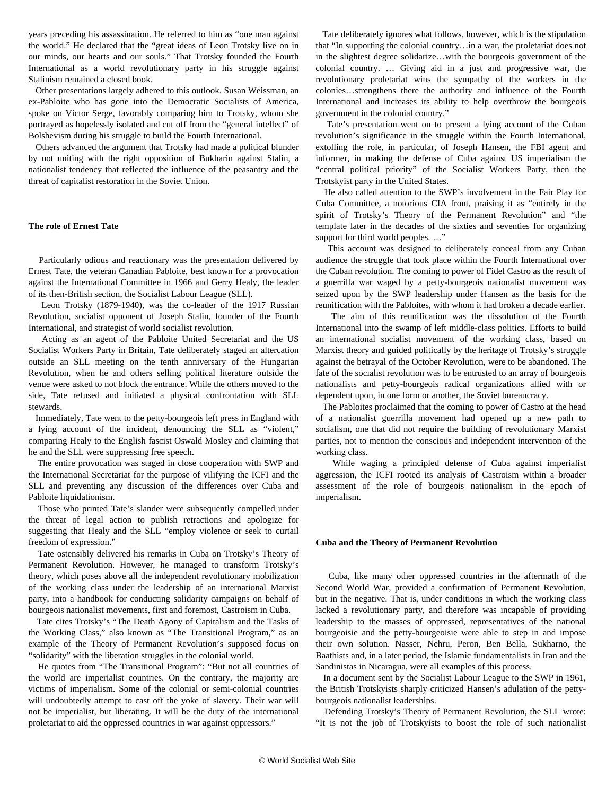years preceding his assassination. He referred to him as "one man against the world." He declared that the "great ideas of Leon Trotsky live on in our minds, our hearts and our souls." That Trotsky founded the Fourth International as a world revolutionary party in his struggle against Stalinism remained a closed book.

 Other presentations largely adhered to this outlook. Susan Weissman, an ex-Pabloite who has gone into the Democratic Socialists of America, spoke on Victor Serge, favorably comparing him to Trotsky, whom she portrayed as hopelessly isolated and cut off from the "general intellect" of Bolshevism during his struggle to build the Fourth International.

 Others advanced the argument that Trotsky had made a political blunder by not uniting with the right opposition of Bukharin against Stalin, a nationalist tendency that reflected the influence of the peasantry and the threat of capitalist restoration in the Soviet Union.

#### **The role of Ernest Tate**

 Particularly odious and reactionary was the presentation delivered by Ernest Tate, the veteran Canadian Pabloite, best known for a provocation against the International Committee in 1966 and Gerry Healy, the leader of its then-British section, the Socialist Labour League (SLL).

 Leon Trotsky (1879-1940), was the co-leader of the 1917 Russian Revolution, socialist opponent of Joseph Stalin, founder of the Fourth International, and strategist of world socialist revolution.

 Acting as an agent of the Pabloite United Secretariat and the US Socialist Workers Party in Britain, Tate deliberately staged an altercation outside an SLL meeting on the tenth anniversary of the Hungarian Revolution, when he and others selling political literature outside the venue were asked to not block the entrance. While the others moved to the side, Tate refused and initiated a physical confrontation with SLL stewards.

 Immediately, Tate went to the petty-bourgeois left press in England with a lying account of the incident, denouncing the SLL as "violent," comparing Healy to the English fascist Oswald Mosley and claiming that he and the SLL were suppressing free speech.

 The entire provocation was staged in close cooperation with SWP and the International Secretariat for the purpose of vilifying the ICFI and the SLL and preventing any discussion of the differences over Cuba and Pabloite liquidationism.

 Those who printed Tate's slander were subsequently compelled under the threat of legal action to publish retractions and apologize for suggesting that Healy and the SLL "employ violence or seek to curtail freedom of expression."

 Tate ostensibly delivered his remarks in Cuba on Trotsky's Theory of Permanent Revolution. However, he managed to transform Trotsky's theory, which poses above all the independent revolutionary mobilization of the working class under the leadership of an international Marxist party, into a handbook for conducting solidarity campaigns on behalf of bourgeois nationalist movements, first and foremost, Castroism in Cuba.

 Tate cites Trotsky's "The Death Agony of Capitalism and the Tasks of the Working Class," also known as "The Transitional Program," as an example of the Theory of Permanent Revolution's supposed focus on "solidarity" with the liberation struggles in the colonial world.

 He quotes from "The Transitional Program": "But not all countries of the world are imperialist countries. On the contrary, the majority are victims of imperialism. Some of the colonial or semi-colonial countries will undoubtedly attempt to cast off the yoke of slavery. Their war will not be imperialist, but liberating. It will be the duty of the international proletariat to aid the oppressed countries in war against oppressors."

 Tate deliberately ignores what follows, however, which is the stipulation that "In supporting the colonial country…in a war, the proletariat does not in the slightest degree solidarize…with the bourgeois government of the colonial country. … Giving aid in a just and progressive war, the revolutionary proletariat wins the sympathy of the workers in the colonies…strengthens there the authority and influence of the Fourth International and increases its ability to help overthrow the bourgeois government in the colonial country."

 Tate's presentation went on to present a lying account of the Cuban revolution's significance in the struggle within the Fourth International, extolling the role, in particular, of Joseph Hansen, the FBI agent and informer, in making the defense of Cuba against US imperialism the "central political priority" of the Socialist Workers Party, then the Trotskyist party in the United States.

 He also called attention to the SWP's involvement in the Fair Play for Cuba Committee, a notorious CIA front, praising it as "entirely in the spirit of Trotsky's Theory of the Permanent Revolution" and "the template later in the decades of the sixties and seventies for organizing support for third world peoples. …"

 This account was designed to deliberately conceal from any Cuban audience the struggle that took place within the Fourth International over the Cuban revolution. The coming to power of Fidel Castro as the result of a guerrilla war waged by a petty-bourgeois nationalist movement was seized upon by the SWP leadership under Hansen as the basis for the reunification with the Pabloites, with whom it had broken a decade earlier.

 The aim of this reunification was the dissolution of the Fourth International into the swamp of left middle-class politics. Efforts to build an international socialist movement of the working class, based on Marxist theory and guided politically by the heritage of Trotsky's struggle against the betrayal of the October Revolution, were to be abandoned. The fate of the socialist revolution was to be entrusted to an array of bourgeois nationalists and petty-bourgeois radical organizations allied with or dependent upon, in one form or another, the Soviet bureaucracy.

 The Pabloites proclaimed that the coming to power of Castro at the head of a nationalist guerrilla movement had opened up a new path to socialism, one that did not require the building of revolutionary Marxist parties, not to mention the conscious and independent intervention of the working class.

 While waging a principled defense of Cuba against imperialist aggression, the ICFI rooted its analysis of Castroism within a broader assessment of the role of bourgeois nationalism in the epoch of imperialism.

#### **Cuba and the Theory of Permanent Revolution**

 Cuba, like many other oppressed countries in the aftermath of the Second World War, provided a confirmation of Permanent Revolution, but in the negative. That is, under conditions in which the working class lacked a revolutionary party, and therefore was incapable of providing leadership to the masses of oppressed, representatives of the national bourgeoisie and the petty-bourgeoisie were able to step in and impose their own solution. Nasser, Nehru, Peron, Ben Bella, Sukharno, the Baathists and, in a later period, the Islamic fundamentalists in Iran and the Sandinistas in Nicaragua, were all examples of this process.

 In a document sent by the Socialist Labour League to the SWP in 1961, the British Trotskyists sharply criticized Hansen's adulation of the pettybourgeois nationalist leaderships.

 Defending Trotsky's Theory of Permanent Revolution, the SLL wrote: "It is not the job of Trotskyists to boost the role of such nationalist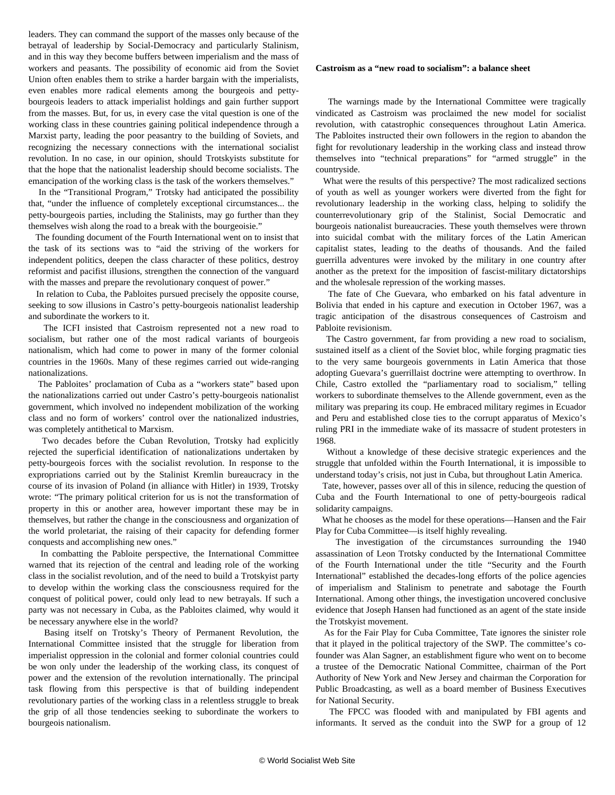leaders. They can command the support of the masses only because of the betrayal of leadership by Social-Democracy and particularly Stalinism, and in this way they become buffers between imperialism and the mass of workers and peasants. The possibility of economic aid from the Soviet Union often enables them to strike a harder bargain with the imperialists, even enables more radical elements among the bourgeois and pettybourgeois leaders to attack imperialist holdings and gain further support from the masses. But, for us, in every case the vital question is one of the working class in these countries gaining political independence through a Marxist party, leading the poor peasantry to the building of Soviets, and recognizing the necessary connections with the international socialist revolution. In no case, in our opinion, should Trotskyists substitute for that the hope that the nationalist leadership should become socialists. The emancipation of the working class is the task of the workers themselves."

 In the "Transitional Program," Trotsky had anticipated the possibility that, "under the influence of completely exceptional circumstances... the petty-bourgeois parties, including the Stalinists, may go further than they themselves wish along the road to a break with the bourgeoisie."

 The founding document of the Fourth International went on to insist that the task of its sections was to "aid the striving of the workers for independent politics, deepen the class character of these politics, destroy reformist and pacifist illusions, strengthen the connection of the vanguard with the masses and prepare the revolutionary conquest of power."

 In relation to Cuba, the Pabloites pursued precisely the opposite course, seeking to sow illusions in Castro's petty-bourgeois nationalist leadership and subordinate the workers to it.

 The ICFI insisted that Castroism represented not a new road to socialism, but rather one of the most radical variants of bourgeois nationalism, which had come to power in many of the former colonial countries in the 1960s. Many of these regimes carried out wide-ranging nationalizations.

 The Pabloites' proclamation of Cuba as a "workers state" based upon the nationalizations carried out under Castro's petty-bourgeois nationalist government, which involved no independent mobilization of the working class and no form of workers' control over the nationalized industries, was completely antithetical to Marxism.

 Two decades before the Cuban Revolution, Trotsky had explicitly rejected the superficial identification of nationalizations undertaken by petty-bourgeois forces with the socialist revolution. In response to the expropriations carried out by the Stalinist Kremlin bureaucracy in the course of its invasion of Poland (in alliance with Hitler) in 1939, Trotsky wrote: "The primary political criterion for us is not the transformation of property in this or another area, however important these may be in themselves, but rather the change in the consciousness and organization of the world proletariat, the raising of their capacity for defending former conquests and accomplishing new ones."

 In combatting the Pabloite perspective, the International Committee warned that its rejection of the central and leading role of the working class in the socialist revolution, and of the need to build a Trotskyist party to develop within the working class the consciousness required for the conquest of political power, could only lead to new betrayals. If such a party was not necessary in Cuba, as the Pabloites claimed, why would it be necessary anywhere else in the world?

 Basing itself on Trotsky's Theory of Permanent Revolution, the International Committee insisted that the struggle for liberation from imperialist oppression in the colonial and former colonial countries could be won only under the leadership of the working class, its conquest of power and the extension of the revolution internationally. The principal task flowing from this perspective is that of building independent revolutionary parties of the working class in a relentless struggle to break the grip of all those tendencies seeking to subordinate the workers to bourgeois nationalism.

#### **Castroism as a "new road to socialism": a balance sheet**

 The warnings made by the International Committee were tragically vindicated as Castroism was proclaimed the new model for socialist revolution, with catastrophic consequences throughout Latin America. The Pabloites instructed their own followers in the region to abandon the fight for revolutionary leadership in the working class and instead throw themselves into "technical preparations" for "armed struggle" in the countryside.

 What were the results of this perspective? The most radicalized sections of youth as well as younger workers were diverted from the fight for revolutionary leadership in the working class, helping to solidify the counterrevolutionary grip of the Stalinist, Social Democratic and bourgeois nationalist bureaucracies. These youth themselves were thrown into suicidal combat with the military forces of the Latin American capitalist states, leading to the deaths of thousands. And the failed guerrilla adventures were invoked by the military in one country after another as the pretext for the imposition of fascist-military dictatorships and the wholesale repression of the working masses.

 The fate of Che Guevara, who embarked on his fatal adventure in Bolivia that ended in his capture and execution in October 1967, was a tragic anticipation of the disastrous consequences of Castroism and Pabloite revisionism.

 The Castro government, far from providing a new road to socialism, sustained itself as a client of the Soviet bloc, while forging pragmatic ties to the very same bourgeois governments in Latin America that those adopting Guevara's guerrillaist doctrine were attempting to overthrow. In Chile, Castro extolled the "parliamentary road to socialism," telling workers to subordinate themselves to the Allende government, even as the military was preparing its coup. He embraced military regimes in Ecuador and Peru and established close ties to the corrupt apparatus of Mexico's ruling PRI in the immediate wake of its massacre of student protesters in 1968.

 Without a knowledge of these decisive strategic experiences and the struggle that unfolded within the Fourth International, it is impossible to understand today's crisis, not just in Cuba, but throughout Latin America.

 Tate, however, passes over all of this in silence, reducing the question of Cuba and the Fourth International to one of petty-bourgeois radical solidarity campaigns.

 What he chooses as the model for these operations—Hansen and the Fair Play for Cuba Committee—is itself highly revealing.

 The investigation of the circumstances surrounding the 1940 assassination of Leon Trotsky conducted by the International Committee of the Fourth International under the title "[Security and the Fourth](/en/articles/2018/11/14/scfi-n14.html) [International](/en/articles/2018/11/14/scfi-n14.html)" established the decades-long efforts of the police agencies of imperialism and Stalinism to penetrate and sabotage the Fourth International. Among other things, the investigation uncovered conclusive evidence that Joseph Hansen had functioned as an agent of the state inside the Trotskyist movement.

 As for the Fair Play for Cuba Committee, Tate ignores the sinister role that it played in the political trajectory of the SWP. The committee's cofounder was Alan Sagner, an establishment figure who went on to become a trustee of the Democratic National Committee, chairman of the Port Authority of New York and New Jersey and chairman the Corporation for Public Broadcasting, as well as a board member of Business Executives for National Security.

 The FPCC was flooded with and manipulated by FBI agents and informants. It served as the conduit into the SWP for a group of 12